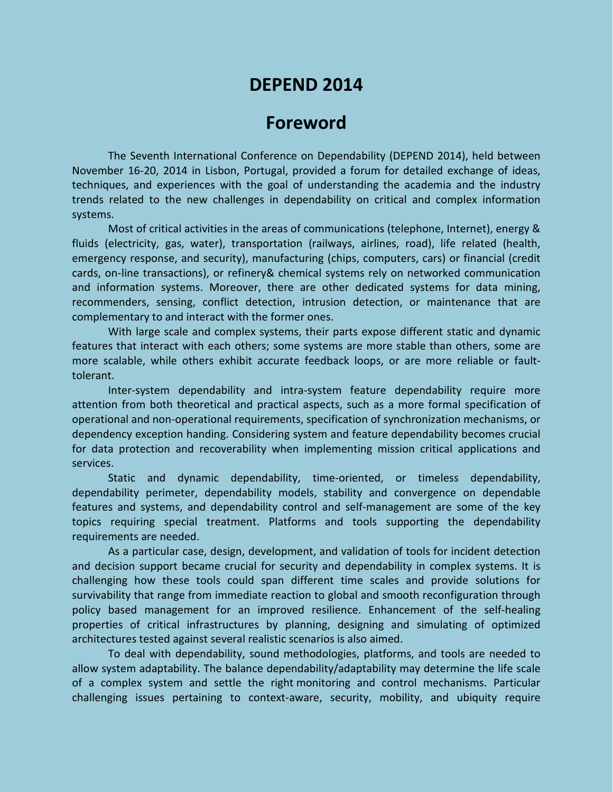# **DEPEND 2014**

# **Foreword**

The Seventh International Conference on Dependability (DEPEND 2014), held between November 16-20, 2014 in Lisbon, Portugal, provided a forum for detailed exchange of ideas, techniques, and experiences with the goal of understanding the academia and the industry trends related to the new challenges in dependability on critical and complex information systems.

Most of critical activities in the areas of communications (telephone, Internet), energy & fluids (electricity, gas, water), transportation (railways, airlines, road), life related (health, emergency response, and security), manufacturing (chips, computers, cars) or financial (credit cards, on-line transactions), or refinery& chemical systems rely on networked communication and information systems. Moreover, there are other dedicated systems for data mining, recommenders, sensing, conflict detection, intrusion detection, or maintenance that are complementary to and interact with the former ones.

With large scale and complex systems, their parts expose different static and dynamic features that interact with each others; some systems are more stable than others, some are more scalable, while others exhibit accurate feedback loops, or are more reliable or faulttolerant.

Inter-system dependability and intra-system feature dependability require more attention from both theoretical and practical aspects, such as a more formal specification of operational and non-operational requirements, specification of synchronization mechanisms, or dependency exception handing. Considering system and feature dependability becomes crucial for data protection and recoverability when implementing mission critical applications and services.

Static and dynamic dependability, time-oriented, or timeless dependability, dependability perimeter, dependability models, stability and convergence on dependable features and systems, and dependability control and self-management are some of the key topics requiring special treatment. Platforms and tools supporting the dependability requirements are needed.

As a particular case, design, development, and validation of tools for incident detection and decision support became crucial for security and dependability in complex systems. It is challenging how these tools could span different time scales and provide solutions for survivability that range from immediate reaction to global and smooth reconfiguration through policy based management for an improved resilience. Enhancement of the self-healing properties of critical infrastructures by planning, designing and simulating of optimized architectures tested against several realistic scenarios is also aimed.

To deal with dependability, sound methodologies, platforms, and tools are needed to allow system adaptability. The balance dependability/adaptability may determine the life scale of a complex system and settle the right monitoring and control mechanisms. Particular challenging issues pertaining to context-aware, security, mobility, and ubiquity require